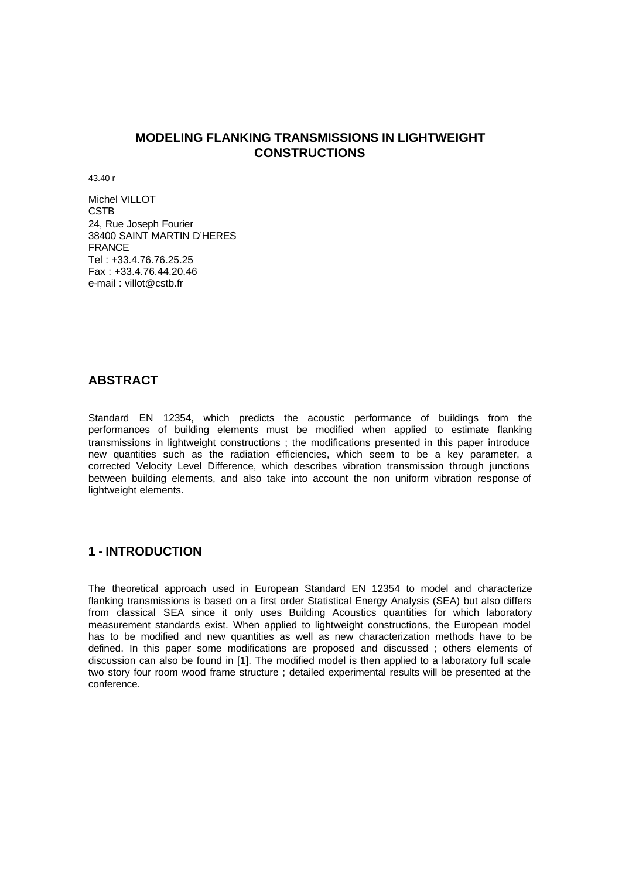## **MODELING FLANKING TRANSMISSIONS IN LIGHTWEIGHT CONSTRUCTIONS**

43.40 r

Michel VILLOT CSTB 24, Rue Joseph Fourier 38400 SAINT MARTIN D'HERES FRANCE Tel : +33.4.76.76.25.25 Fax : +33.4.76.44.20.46 e-mail : villot@cstb.fr

## **ABSTRACT**

Standard EN 12354, which predicts the acoustic performance of buildings from the performances of building elements must be modified when applied to estimate flanking transmissions in lightweight constructions ; the modifications presented in this paper introduce new quantities such as the radiation efficiencies, which seem to be a key parameter, a corrected Velocity Level Difference, which describes vibration transmission through junctions between building elements, and also take into account the non uniform vibration response of lightweight elements.

## **1 - INTRODUCTION**

The theoretical approach used in European Standard EN 12354 to model and characterize flanking transmissions is based on a first order Statistical Energy Analysis (SEA) but also differs from classical SEA since it only uses Building Acoustics quantities for which laboratory measurement standards exist. When applied to lightweight constructions, the European model has to be modified and new quantities as well as new characterization methods have to be defined. In this paper some modifications are proposed and discussed ; others elements of discussion can also be found in [1]. The modified model is then applied to a laboratory full scale two story four room wood frame structure ; detailed experimental results will be presented at the conference.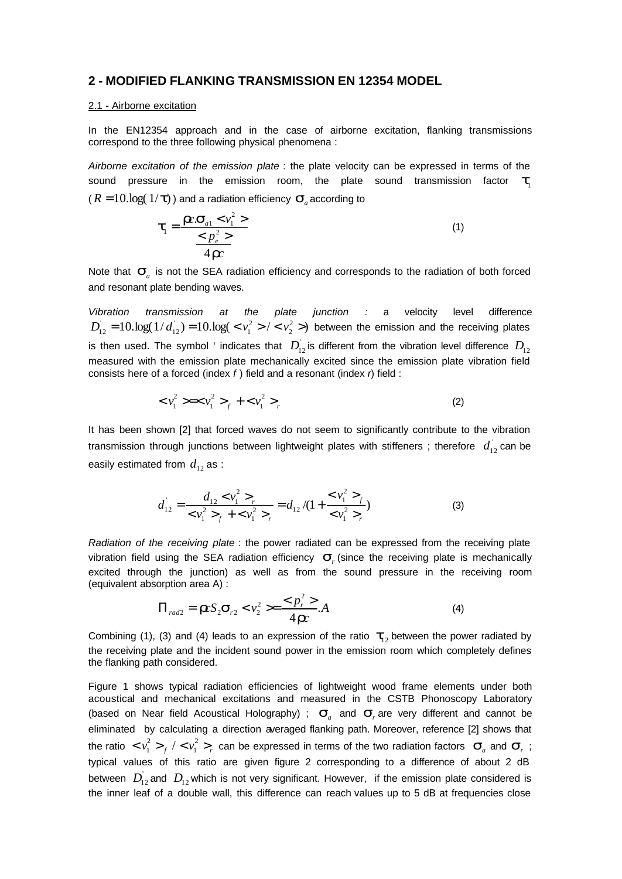### **2 - MODIFIED FLANKING TRANSMISSION EN 12354 MODEL**

#### 2.1 - Airborne excitation

In the EN12354 approach and in the case of airborne excitation, flanking transmissions correspond to the three following physical phenomena :

*Airborne excitation of the emission plate* : the plate velocity can be expressed in terms of the sound pressure in the emission room, the plate sound transmission factor  $\bm{t}_{\text{\tiny{l}}}$  $(R = 10\log(1/\mathbf{t})$  ) and a radiation efficiency  $\mathbf{S}_{a}$  according to

$$
\boldsymbol{t}_{1} = \frac{\boldsymbol{R} \cdot \boldsymbol{S}_{a1} < v_{1}^{2} > }{\leq p_{e}^{2} > } \tag{1}
$$
\n
$$
\frac{P}{4} \boldsymbol{R} \cdot \boldsymbol{R} \cdot \boldsymbol{R} \cdot \boldsymbol{R} \cdot \boldsymbol{R} \cdot \boldsymbol{R} \cdot \boldsymbol{R} \cdot \boldsymbol{R} \cdot \boldsymbol{R} \cdot \boldsymbol{R} \cdot \boldsymbol{R} \cdot \boldsymbol{R} \cdot \boldsymbol{R} \cdot \boldsymbol{R} \cdot \boldsymbol{R} \cdot \boldsymbol{R} \cdot \boldsymbol{R} \cdot \boldsymbol{R} \cdot \boldsymbol{R} \cdot \boldsymbol{R} \cdot \boldsymbol{R} \cdot \boldsymbol{R} \cdot \boldsymbol{R} \cdot \boldsymbol{R} \cdot \boldsymbol{R} \cdot \boldsymbol{R} \cdot \boldsymbol{R} \cdot \boldsymbol{R} \cdot \boldsymbol{R} \cdot \boldsymbol{R} \cdot \boldsymbol{R} \cdot \boldsymbol{R} \cdot \boldsymbol{R} \cdot \boldsymbol{R} \cdot \boldsymbol{R} \cdot \boldsymbol{R} \cdot \boldsymbol{R} \cdot \boldsymbol{R} \cdot \boldsymbol{R} \cdot \boldsymbol{R} \cdot \boldsymbol{R} \cdot \boldsymbol{R} \cdot \boldsymbol{R} \cdot \boldsymbol{R} \cdot \boldsymbol{R} \cdot \boldsymbol{R} \cdot \boldsymbol{R} \cdot \boldsymbol{R} \cdot \boldsymbol{R} \cdot \boldsymbol{R} \cdot \boldsymbol{R} \cdot \boldsymbol{R} \cdot \boldsymbol{R} \cdot \boldsymbol{R} \cdot \boldsymbol{R} \cdot \boldsymbol{R} \cdot \boldsymbol{R} \cdot \boldsymbol{R} \cdot \boldsymbol{R} \cdot \boldsymbol{R} \cdot \boldsymbol{R} \cdot \boldsymbol{R} \cdot \boldsymbol{R} \cdot \boldsymbol{R} \cdot \boldsymbol{R} \cdot \boldsymbol{R} \cdot \boldsymbol{R} \cdot \boldsymbol{R} \cdot \boldsymbol{R} \cdot \boldsymbol{R} \cdot \boldsymbol{R} \cdot \boldsymbol{R} \cdot \boldsymbol{R} \cdot \boldsymbol{R} \cdot \boldsymbol{R} \cdot \boldsymbol{R} \cdot \boldsymbol{R} \cdot \boldsymbol{R} \cdot \boldsymbol{R} \cdot \boldsymbol{R} \cdot \boldsymbol{R} \cdot \boldsymbol{R} \cdot \boldsymbol{R} \cdot \boldsymbol{R} \cdot \boldsymbol{R} \cdot \boldsymbol{
$$

Note that  $\mathbf{s}_a$  is not the SEA radiation efficiency and corresponds to the radiation of both forced and resonant plate bending waves.

*Vibration transmission at the plate junction :* a velocity level difference  $10 \cdot \log(1/d_{12}) = 10 \cdot \log( \langle v_1^2 \rangle / \langle v_2^2 \rangle )$ 2 2  $D_{12}^{'} = 10 \log(1/d_{12}^{'}) = 10 \log(1/\epsilon_1^2 > 1/\epsilon_2^2 > 1)$  between the emission and the receiving plates is then used. The symbol ' indicates that  $D_{12}$  is different from the vibration level difference  $D_{12}$ measured with the emission plate mechanically excited since the emission plate vibration field consists here of a forced (index *f* ) field and a resonant (index *r*) field :

$$
\langle v_1^2 \rangle = \langle v_1^2 \rangle + \langle v_1^2 \rangle \tag{2}
$$

It has been shown [2] that forced waves do not seem to significantly contribute to the vibration transmission through junctions between lightweight plates with stiffeners ; therefore  $d_{12}^{+}$  can be easily estimated from  $d_{12}$  as :

$$
d_{12} = \frac{d_{12} < v_1^2 >_r}{< v_1^2 >_f + < v_1^2 >_r} = d_{12}/(1 + \frac{< v_1^2 >_f}{< v_1^2 >_r})
$$
 (3)

*Radiation of the receiving plate* : the power radiated can be expressed from the receiving plate vibration field using the SEA radiation efficiency *s<sup>r</sup>* (since the receiving plate is mechanically excited through the junction) as well as from the sound pressure in the receiving room (equivalent absorption area A) :

$$
\Pi_{rad2} = \boldsymbol{I} \boldsymbol{c} S_2 \boldsymbol{s}_{r2} < v_2^2 \geq \frac{\langle p_r^2 \rangle}{4 \boldsymbol{I} \boldsymbol{c}} A \tag{4}
$$

Combining (1), (3) and (4) leads to an expression of the ratio  $t<sub>1</sub>$  between the power radiated by the receiving plate and the incident sound power in the emission room which completely defines the flanking path considered.

Figure 1 shows typical radiation efficiencies of lightweight wood frame elements under both acoustical and mechanical excitations and measured in the CSTB Phonoscopy Laboratory (based on Near field Acoustical Holography) ;  $\mathbf{s}_a$  and  $\mathbf{s}_r$  are very different and cannot be eliminated by calculating a direction averaged flanking path. Moreover, reference [2] shows that the ratio  $\langle v_1^2 \rangle_f / \langle v_1^2 \rangle_f$ 1 2  $\sum_{i=1}^{2}$  >  $\frac{1}{f}$  / <  $v_1^2$  ><sub>r</sub> can be expressed in terms of the two radiation factors  $\mathbf{S}_a$  and  $\mathbf{S}_r$ ; typical values of this ratio are given figure 2 corresponding to a difference of about 2 dB between  $D_{12}$  and  $D_{12}$  which is not very significant. However, if the emission plate considered is the inner leaf of a double wall, this difference can reach values up to 5 dB at frequencies close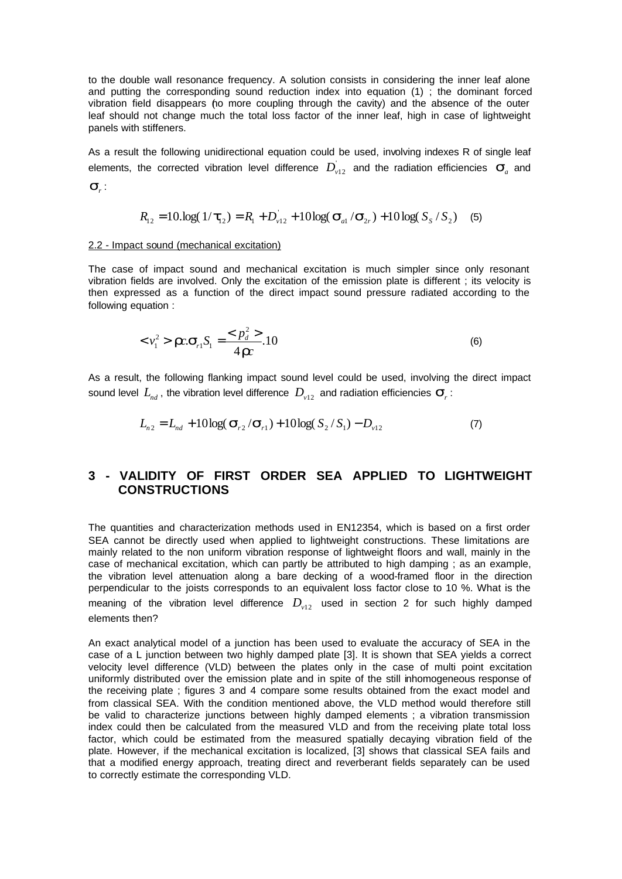to the double wall resonance frequency. A solution consists in considering the inner leaf alone and putting the corresponding sound reduction index into equation (1) ; the dominant forced vibration field disappears (to more coupling through the cavity) and the absence of the outer leaf should not change much the total loss factor of the inner leaf, high in case of lightweight panels with stiffeners.

As a result the following unidirectional equation could be used, involving indexes R of single leaf elements, the corrected vibration level difference  $D_{v12}^{\dagger}$  and the radiation efficiencies  $\mathbf{s}_a^{\dagger}$  and *sr* :

$$
R_{12} = 10 \log(1/\text{t}_{12}) = R_1 + D_{v12} + 10 \log(\text{S}_{a1}/\text{S}_{2r}) + 10 \log(S_s/S_2)
$$
 (5)

#### 2.2 - Impact sound (mechanical excitation)

The case of impact sound and mechanical excitation is much simpler since only resonant vibration fields are involved. Only the excitation of the emission plate is different ; its velocity is then expressed as a function of the direct impact sound pressure radiated according to the following equation :

$$
<\nu_1^2> \mathbf{r} \cdot \mathbf{s}_{r1} S_1 = \frac{Q \cdot p_d^2}{4 \mathbf{r} \cdot \mathbf{r}} \cdot 10
$$
 (6)

As a result, the following flanking impact sound level could be used, involving the direct impact sound level  $L_{nd}$  , the vibration level difference  $D_{\mathrm{v}12}$  and radiation efficiencies  $\boldsymbol{S}_{r}$ :

$$
L_{n2} = L_{nd} + 10\log(\mathbf{S}_{r2}/\mathbf{S}_{r1}) + 10\log(\mathrm{S}_{2}/\mathrm{S}_{1}) - D_{v12}
$$
 (7)

## **3 - VALIDITY OF FIRST ORDER SEA APPLIED TO LIGHTWEIGHT CONSTRUCTIONS**

The quantities and characterization methods used in EN12354, which is based on a first order SEA cannot be directly used when applied to lightweight constructions. These limitations are mainly related to the non uniform vibration response of lightweight floors and wall, mainly in the case of mechanical excitation, which can partly be attributed to high damping ; as an example, the vibration level attenuation along a bare decking of a wood-framed floor in the direction perpendicular to the joists corresponds to an equivalent loss factor close to 10 %. What is the meaning of the vibration level difference  $D_{v12}$  used in section 2 for such highly damped elements then?

An exact analytical model of a junction has been used to evaluate the accuracy of SEA in the case of a L junction between two highly damped plate [3]. It is shown that SEA yields a correct velocity level difference (VLD) between the plates only in the case of multi point excitation uniformly distributed over the emission plate and in spite of the still inhomogeneous response of the receiving plate ; figures 3 and 4 compare some results obtained from the exact model and from classical SEA. With the condition mentioned above, the VLD method would therefore still be valid to characterize junctions between highly damped elements ; a vibration transmission index could then be calculated from the measured VLD and from the receiving plate total loss factor, which could be estimated from the measured spatially decaying vibration field of the plate. However, if the mechanical excitation is localized, [3] shows that classical SEA fails and that a modified energy approach, treating direct and reverberant fields separately can be used to correctly estimate the corresponding VLD.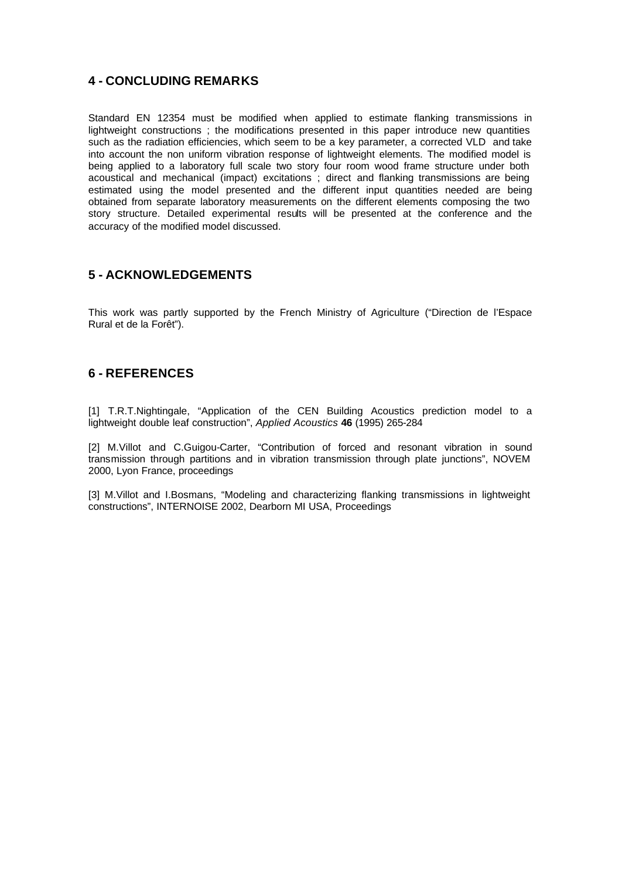# **4 - CONCLUDING REMARKS**

Standard EN 12354 must be modified when applied to estimate flanking transmissions in lightweight constructions ; the modifications presented in this paper introduce new quantities such as the radiation efficiencies, which seem to be a key parameter, a corrected VLD and take into account the non uniform vibration response of lightweight elements. The modified model is being applied to a laboratory full scale two story four room wood frame structure under both acoustical and mechanical (impact) excitations ; direct and flanking transmissions are being estimated using the model presented and the different input quantities needed are being obtained from separate laboratory measurements on the different elements composing the two story structure. Detailed experimental results will be presented at the conference and the accuracy of the modified model discussed.

# **5 - ACKNOWLEDGEMENTS**

This work was partly supported by the French Ministry of Agriculture ("Direction de l'Espace Rural et de la Forêt").

## **6 - REFERENCES**

[1] T.R.T.Nightingale, "Application of the CEN Building Acoustics prediction model to a lightweight double leaf construction", *Applied Acoustics* **46** (1995) 265-284

[2] M.Villot and C.Guigou-Carter, "Contribution of forced and resonant vibration in sound transmission through partitions and in vibration transmission through plate junctions", NOVEM 2000, Lyon France, proceedings

[3] M.Villot and I.Bosmans, "Modeling and characterizing flanking transmissions in lightweight constructions", INTERNOISE 2002, Dearborn MI USA, Proceedings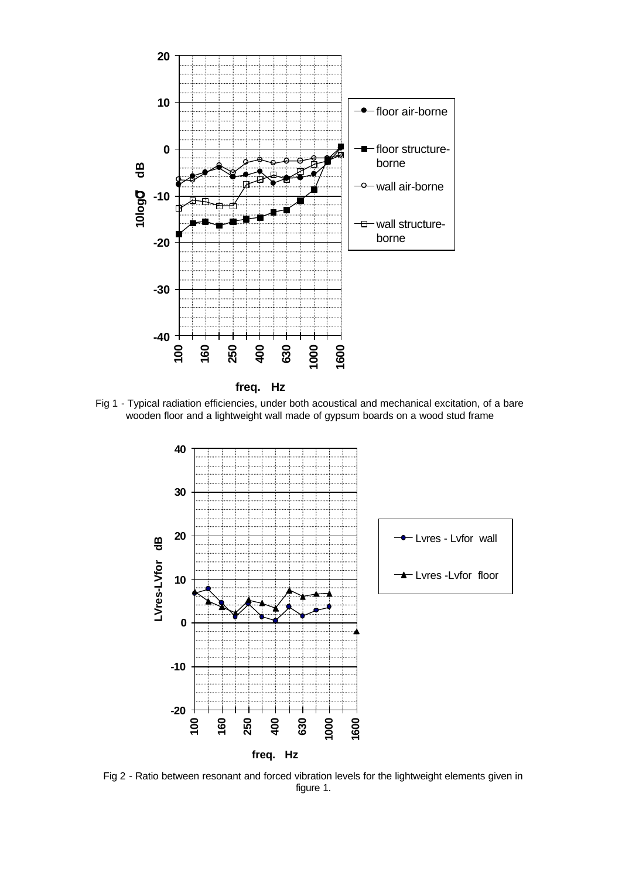

**freq. Hz** 

Fig 1 - Typical radiation efficiencies, under both acoustical and mechanical excitation, of a bare wooden floor and a lightweight wall made of gypsum boards on a wood stud frame



Fig 2 - Ratio between resonant and forced vibration levels for the lightweight elements given in figure 1.